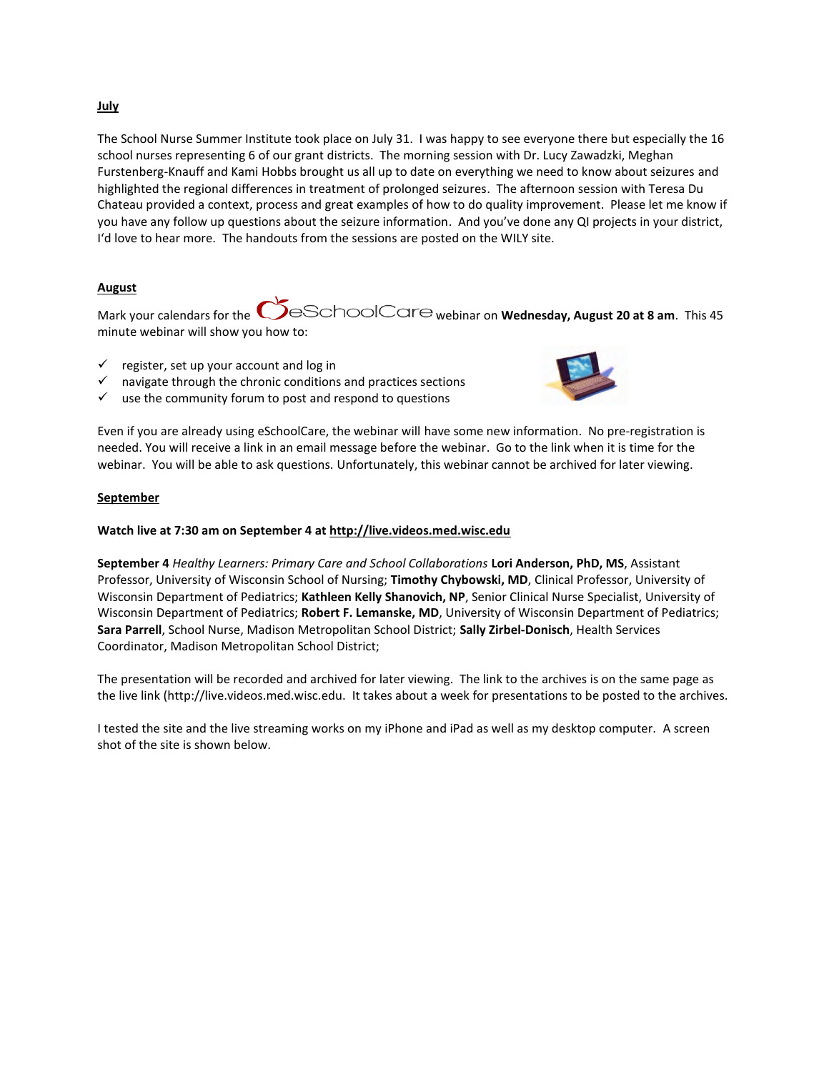## **July**

The School Nurse Summer Institute took place on July 31. I was happy to see everyone there but especially the 16 school nurses representing 6 of our grant districts. The morning session with Dr. Lucy Zawadzki, Meghan Furstenberg-Knauff and Kami Hobbs brought us all up to date on everything we need to know about seizures and highlighted the regional differences in treatment of prolonged seizures. The afternoon session with Teresa Du Chateau provided a context, process and great examples of how to do quality improvement. Please let me know if you have any follow up questions about the seizure information. And you've done any QI projects in your district, I'd love to hear more. The handouts from the sessions are posted on the WILY site.

## **August**

Mark your calendars for the  $\bigcirc$ eSchoolCare webinar on **Wednesday, August 20 at 8 am**. This 45 minute webinar will show you how to:

- $\checkmark$  register, set up your account and log in
- $\checkmark$  navigate through the chronic conditions and practices sections
- $\checkmark$  use the community forum to post and respond to questions



Even if you are already using eSchoolCare, the webinar will have some new information. No pre-registration is needed. You will receive a link in an email message before the webinar. Go to the link when it is time for the webinar. You will be able to ask questions. Unfortunately, this webinar cannot be archived for later viewing.

#### **September**

### **Watch live at 7:30 am on September 4 a[t http://live.videos.med.wisc.edu](http://live.videos.med.wisc.edu/)**

**September 4** *Healthy Learners: Primary Care and School Collaborations* **Lori Anderson, PhD, MS**, Assistant Professor, University of Wisconsin School of Nursing; **Timothy Chybowski, MD**, Clinical Professor, University of Wisconsin Department of Pediatrics; **Kathleen Kelly Shanovich, NP**, Senior Clinical Nurse Specialist, University of Wisconsin Department of Pediatrics; **Robert F. Lemanske, MD**, University of Wisconsin Department of Pediatrics; **Sara Parrell**, School Nurse, Madison Metropolitan School District; **Sally Zirbel-Donisch**, Health Services Coordinator, Madison Metropolitan School District;

The presentation will be recorded and archived for later viewing. The link to the archives is on the same page as the live link (http://live.videos.med.wisc.edu. It takes about a week for presentations to be posted to the archives.

I tested the site and the live streaming works on my iPhone and iPad as well as my desktop computer. A screen shot of the site is shown below.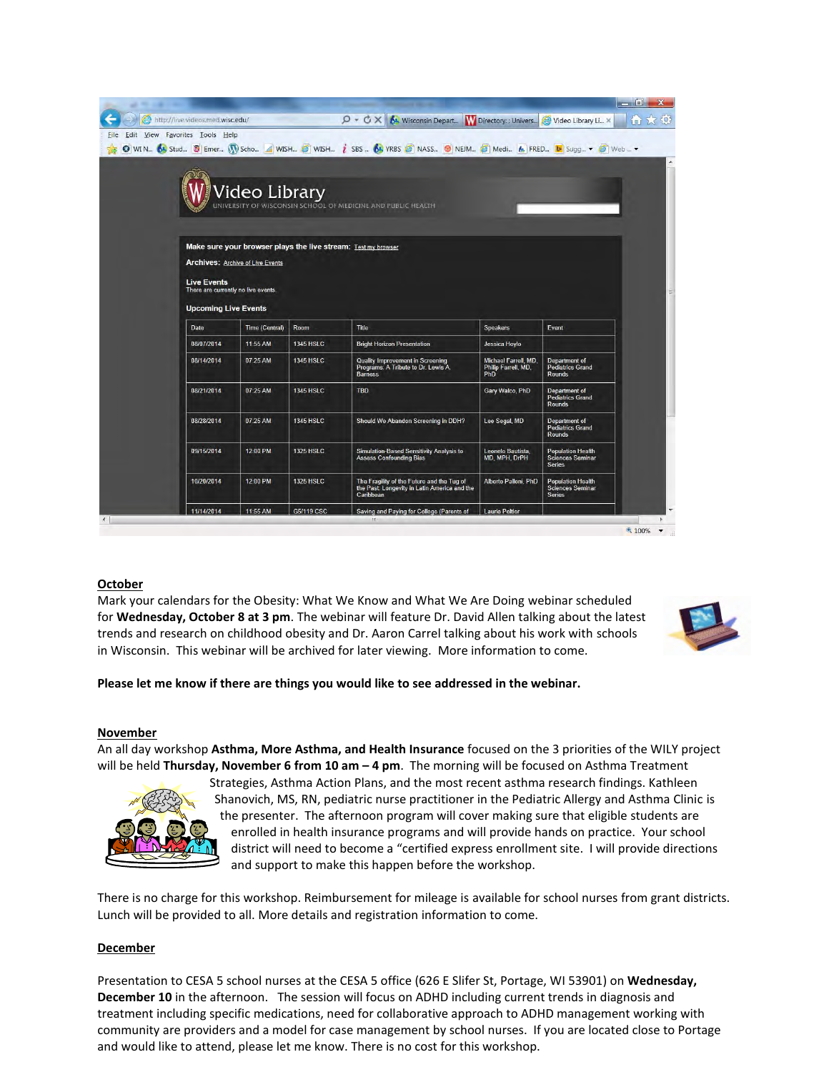| <b>File</b> | Edit View Favorites Tools Help                            |                                         |                  | $Q - C \times$<br><b>N.</b> Wisconsin Depart<br>G WIN 6 Stud 8 Emer (W Scho 4 WISH 6 WISH i SBS 6 YRBS @ NASS 8 NEM @ Medi & FRED b Sugg + @ Web  + | <b>W</b> Directory: : Univers                                  | Video Library Li X<br>í n ì                                          |
|-------------|-----------------------------------------------------------|-----------------------------------------|------------------|-----------------------------------------------------------------------------------------------------------------------------------------------------|----------------------------------------------------------------|----------------------------------------------------------------------|
|             | <b>Live Events</b><br>There are currently no live events. | <b>Archives: Archive of Live Events</b> |                  | Video Library<br>UNIVERSITY OF WISCONSIN SCHOOL OF MEDICINE AND PUBLIC HEALTH<br>Make sure your browser plays the live stream: Test my browser      |                                                                |                                                                      |
|             | <b>Upcoming Live Events</b>                               |                                         |                  |                                                                                                                                                     |                                                                |                                                                      |
|             | Date                                                      | <b>Time (Central)</b>                   | Room             | Title                                                                                                                                               | <b>Speakers</b>                                                | Event                                                                |
|             |                                                           |                                         |                  |                                                                                                                                                     |                                                                |                                                                      |
|             | 08/07/2014                                                | 11:55 AM                                | 1345 HSLC        | <b>Bright Horizon Presentation</b>                                                                                                                  | <b>Jessica Hoylo</b>                                           |                                                                      |
|             | 08/14/2014                                                | 07:25 AM                                | <b>1345 HSLC</b> | Quality Improvement in Screening<br>Programs: A Tribute to Dr. Lewis A.<br><b>Barness</b>                                                           | Michael Farrell, MD.<br>Philip Farrell, MD,<br>Ph <sub>D</sub> | Department of<br><b>Pediatrics Grand</b><br>Rounds                   |
|             | 08/21/2014                                                | 07:25 AM                                | 1345 HSLC        | <b>TBD</b>                                                                                                                                          | Gary Walco, PhD                                                | <b>Department of</b><br><b>Pediatrics Grand</b><br><b>Rounds</b>     |
|             | 08/28/2014                                                | 07:25 AM                                | <b>1345 HSLC</b> | Should We Abandon Screening in DDH?                                                                                                                 | Lee Segal, MD                                                  | Department of<br>Pediatrics Grand<br>Rounds                          |
|             | 09/15/2014                                                | 12:00 PM                                | <b>1325 HSLC</b> | Simulation-Based Sensitivity Analysis to<br><b>Assess Confounding Bias</b>                                                                          | Leonelo Bautista,<br>MD, MPH, DrPH                             | <b>Population Health</b><br><b>Sciences Seminar</b><br><b>Series</b> |
|             | 10/20/2014                                                | 12:00 PM                                | <b>1325 HSLC</b> | The Fragility of the Future and the Tug of<br>the Past: Longevity in Latin America and the<br>Caribbean                                             | Alberto Palloni, PhD                                           | <b>Population Health</b><br><b>Sciences Seminar</b><br><b>Series</b> |

# **October**

Mark your calendars for the Obesity: What We Know and What We Are Doing webinar scheduled for **Wednesday, October 8 at 3 pm**. The webinar will feature Dr. David Allen talking about the latest trends and research on childhood obesity and Dr. Aaron Carrel talking about his work with schools in Wisconsin. This webinar will be archived for later viewing. More information to come.



## **Please let me know if there are things you would like to see addressed in the webinar.**

#### **November**

An all day workshop **Asthma, More Asthma, and Health Insurance** focused on the 3 priorities of the WILY project will be held Thursday, November 6 from 10 am  $-$  4 pm. The morning will be focused on Asthma Treatment



Strategies, Asthma Action Plans, and the most recent asthma research findings. Kathleen Shanovich, MS, RN, pediatric nurse practitioner in the Pediatric Allergy and Asthma Clinic is the presenter. The afternoon program will cover making sure that eligible students are enrolled in health insurance programs and will provide hands on practice. Your school district will need to become a "certified express enrollment site. I will provide directions and support to make this happen before the workshop.

There is no charge for this workshop. Reimbursement for mileage is available for school nurses from grant districts. Lunch will be provided to all. More details and registration information to come.

#### **December**

Presentation to CESA 5 school nurses at the CESA 5 office (626 E Slifer St, Portage, WI 53901) on **Wednesday, December 10** in the afternoon. The session will focus on ADHD including current trends in diagnosis and treatment including specific medications, need for collaborative approach to ADHD management working with community are providers and a model for case management by school nurses. If you are located close to Portage and would like to attend, please let me know. There is no cost for this workshop.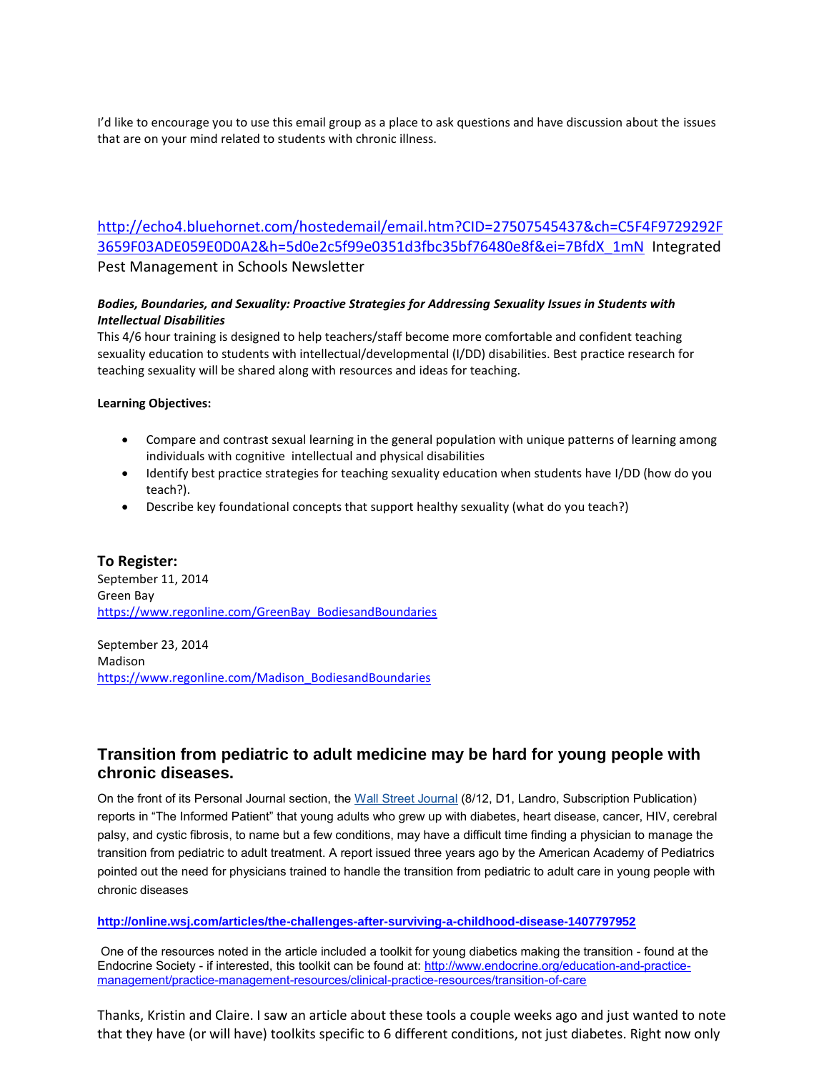I'd like to encourage you to use this email group as a place to ask questions and have discussion about the issues that are on your mind related to students with chronic illness.

[http://echo4.bluehornet.com/hostedemail/email.htm?CID=27507545437&ch=C5F4F9729292F](http://echo4.bluehornet.com/hostedemail/email.htm?CID=27507545437&ch=C5F4F9729292F3659F03ADE059E0D0A2&h=5d0e2c5f99e0351d3fbc35bf76480e8f&ei=7BfdX_1mN) [3659F03ADE059E0D0A2&h=5d0e2c5f99e0351d3fbc35bf76480e8f&ei=7BfdX\\_1mN](http://echo4.bluehornet.com/hostedemail/email.htm?CID=27507545437&ch=C5F4F9729292F3659F03ADE059E0D0A2&h=5d0e2c5f99e0351d3fbc35bf76480e8f&ei=7BfdX_1mN) Integrated Pest Management in Schools Newsletter

# *Bodies, Boundaries, and Sexuality: Proactive Strategies for Addressing Sexuality Issues in Students with Intellectual Disabilities*

This 4/6 hour training is designed to help teachers/staff become more comfortable and confident teaching sexuality education to students with intellectual/developmental (I/DD) disabilities. Best practice research for teaching sexuality will be shared along with resources and ideas for teaching.

# **Learning Objectives:**

- Compare and contrast sexual learning in the general population with unique patterns of learning among individuals with cognitive intellectual and physical disabilities
- Identify best practice strategies for teaching sexuality education when students have I/DD (how do you teach?).
- Describe key foundational concepts that support healthy sexuality (what do you teach?)

# **To Register:**

September 11, 2014 Green Bay [https://www.regonline.com/GreenBay\\_BodiesandBoundaries](https://www.regonline.com/GreenBay_BodiesandBoundaries)

September 23, 2014 Madison [https://www.regonline.com/Madison\\_BodiesandBoundaries](https://www.regonline.com/Madison_BodiesandBoundaries)

# **Transition from pediatric to adult medicine may be hard for young people with chronic diseases.**

On the front of its Personal Journal section, the [Wall Street Journal](http://mailview.bulletinhealthcare.com/mailview.aspx?m=2014081201ama&r=5580606-543b&l=001-1b5&t=c) (8/12, D1, Landro, Subscription Publication) reports in "The Informed Patient" that young adults who grew up with diabetes, heart disease, cancer, HIV, cerebral palsy, and cystic fibrosis, to name but a few conditions, may have a difficult time finding a physician to manage the transition from pediatric to adult treatment. A report issued three years ago by the American Academy of Pediatrics pointed out the need for physicians trained to handle the transition from pediatric to adult care in young people with chronic diseases

## **<http://online.wsj.com/articles/the-challenges-after-surviving-a-childhood-disease-1407797952>**

 One of the resources noted in the article included a toolkit for young diabetics making the transition - found at the Endocrine Society - if interested, this toolkit can be found at[: http://www.endocrine.org/education-and-practice](http://www.endocrine.org/education-and-practice-management/practice-management-resources/clinical-practice-resources/transition-of-care)[management/practice-management-resources/clinical-practice-resources/transition-of-care](http://www.endocrine.org/education-and-practice-management/practice-management-resources/clinical-practice-resources/transition-of-care)

Thanks, Kristin and Claire. I saw an article about these tools a couple weeks ago and just wanted to note that they have (or will have) toolkits specific to 6 different conditions, not just diabetes. Right now only